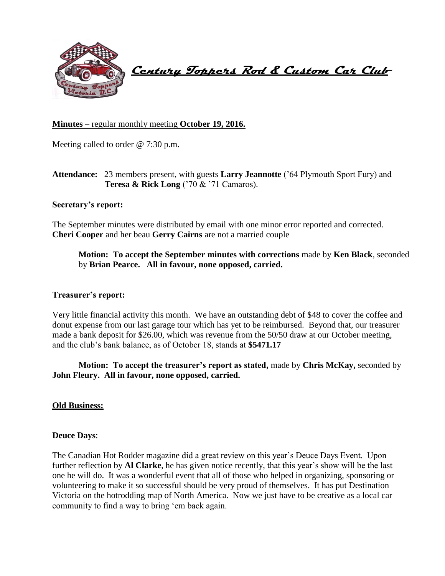

 **Century Toppers Rod & Custom Car Club** 

## **Minutes** – regular monthly meeting **October 19, 2016.**

Meeting called to order @ 7:30 p.m.

# **Attendance:** 23 members present, with guests **Larry Jeannotte** ('64 Plymouth Sport Fury) and **Teresa & Rick Long** ('70 & '71 Camaros).

#### **Secretary's report:**

The September minutes were distributed by email with one minor error reported and corrected. **Cheri Cooper** and her beau **Gerry Cairns** are not a married couple

**Motion: To accept the September minutes with corrections** made by **Ken Black**, seconded by **Brian Pearce. All in favour, none opposed, carried.**

#### **Treasurer's report:**

Very little financial activity this month. We have an outstanding debt of \$48 to cover the coffee and donut expense from our last garage tour which has yet to be reimbursed. Beyond that, our treasurer made a bank deposit for \$26.00, which was revenue from the 50/50 draw at our October meeting, and the club's bank balance, as of October 18, stands at **\$5471.17**

**Motion: To accept the treasurer's report as stated,** made by **Chris McKay,** seconded by **John Fleury. All in favour, none opposed, carried.**

## **Old Business:**

#### **Deuce Days**:

The Canadian Hot Rodder magazine did a great review on this year's Deuce Days Event. Upon further reflection by **Al Clarke**, he has given notice recently, that this year's show will be the last one he will do. It was a wonderful event that all of those who helped in organizing, sponsoring or volunteering to make it so successful should be very proud of themselves. It has put Destination Victoria on the hotrodding map of North America. Now we just have to be creative as a local car community to find a way to bring 'em back again.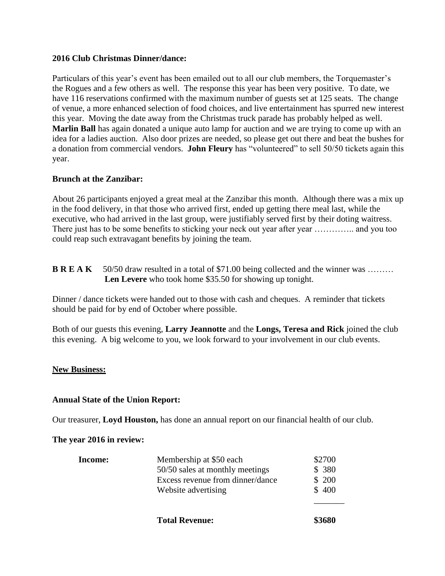## **2016 Club Christmas Dinner/dance:**

Particulars of this year's event has been emailed out to all our club members, the Torquemaster's the Rogues and a few others as well. The response this year has been very positive. To date, we have 116 reservations confirmed with the maximum number of guests set at 125 seats. The change of venue, a more enhanced selection of food choices, and live entertainment has spurred new interest this year. Moving the date away from the Christmas truck parade has probably helped as well. **Marlin Ball** has again donated a unique auto lamp for auction and we are trying to come up with an idea for a ladies auction. Also door prizes are needed, so please get out there and beat the bushes for a donation from commercial vendors. **John Fleury** has "volunteered" to sell 50/50 tickets again this year.

# **Brunch at the Zanzibar:**

About 26 participants enjoyed a great meal at the Zanzibar this month. Although there was a mix up in the food delivery, in that those who arrived first, ended up getting there meal last, while the executive, who had arrived in the last group, were justifiably served first by their doting waitress. There just has to be some benefits to sticking your neck out year after year ................ and you too could reap such extravagant benefits by joining the team.

**B R E A K** 50/50 draw resulted in a total of \$71.00 being collected and the winner was ……… Len Levere who took home \$35.50 for showing up tonight.

Dinner / dance tickets were handed out to those with cash and cheques. A reminder that tickets should be paid for by end of October where possible.

Both of our guests this evening, **Larry Jeannotte** and the **Longs, Teresa and Rick** joined the club this evening. A big welcome to you, we look forward to your involvement in our club events.

## **New Business:**

## **Annual State of the Union Report:**

Our treasurer, **Loyd Houston,** has done an annual report on our financial health of our club.

## **The year 2016 in review:**

|         | <b>Total Revenue:</b>                                   | \$3680         |
|---------|---------------------------------------------------------|----------------|
|         | Excess revenue from dinner/dance<br>Website advertising | \$200<br>\$400 |
|         | 50/50 sales at monthly meetings                         | \$380          |
| Income: | Membership at \$50 each                                 | \$2700         |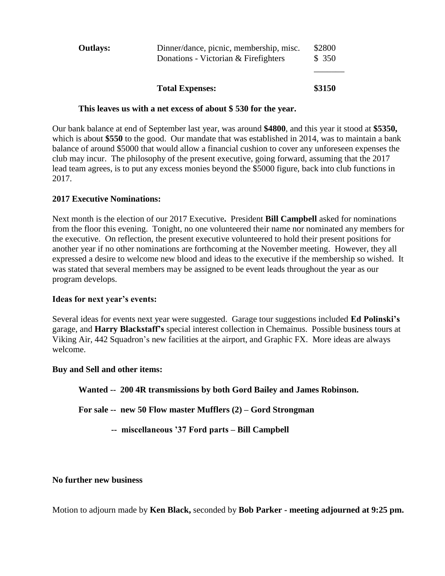|                 | <b>Total Expenses:</b>                                                          | \$3150          |
|-----------------|---------------------------------------------------------------------------------|-----------------|
| <b>Outlays:</b> | Dinner/dance, picnic, membership, misc.<br>Donations - Victorian & Firefighters | \$2800<br>\$350 |

#### **This leaves us with a net excess of about \$ 530 for the year.**

Our bank balance at end of September last year, was around **\$4800**, and this year it stood at **\$5350,**  which is about \$550 to the good. Our mandate that was established in 2014, was to maintain a bank balance of around \$5000 that would allow a financial cushion to cover any unforeseen expenses the club may incur. The philosophy of the present executive, going forward, assuming that the 2017 lead team agrees, is to put any excess monies beyond the \$5000 figure, back into club functions in 2017.

## **2017 Executive Nominations:**

Next month is the election of our 2017 Executive**.** President **Bill Campbell** asked for nominations from the floor this evening. Tonight, no one volunteered their name nor nominated any members for the executive. On reflection, the present executive volunteered to hold their present positions for another year if no other nominations are forthcoming at the November meeting. However, they all expressed a desire to welcome new blood and ideas to the executive if the membership so wished. It was stated that several members may be assigned to be event leads throughout the year as our program develops.

## **Ideas for next year's events:**

Several ideas for events next year were suggested. Garage tour suggestions included **Ed Polinski's** garage, and **Harry Blackstaff's** special interest collection in Chemainus. Possible business tours at Viking Air, 442 Squadron's new facilities at the airport, and Graphic FX. More ideas are always welcome.

## **Buy and Sell and other items:**

**Wanted -- 200 4R transmissions by both Gord Bailey and James Robinson.**

**For sale -- new 50 Flow master Mufflers (2) – Gord Strongman**

 **-- miscellaneous '37 Ford parts – Bill Campbell**

### **No further new business**

Motion to adjourn made by **Ken Black,** seconded by **Bob Parker - meeting adjourned at 9:25 pm.**